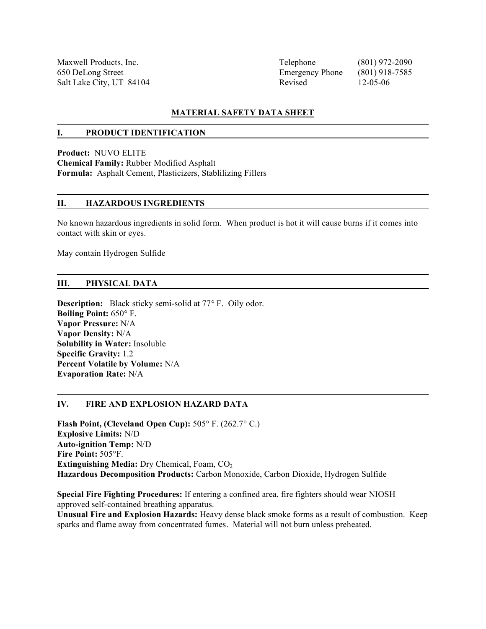Maxwell Products, Inc. Telephone (801) 972-2090 650 DeLong Street Emergency Phone (801) 918-7585 Salt Lake City, UT 84104 Revised 12-05-06

#### **MATERIAL SAFETY DATA SHEET**

#### **I. PRODUCT IDENTIFICATION**

**Product:** NUVO ELITE **Chemical Family:** Rubber Modified Asphalt **Formula:** Asphalt Cement, Plasticizers, Stablilizing Fillers

#### **II. HAZARDOUS INGREDIENTS**

No known hazardous ingredients in solid form. When product is hot it will cause burns if it comes into contact with skin or eyes.

May contain Hydrogen Sulfide

#### **III. PHYSICAL DATA**

**Description:** Black sticky semi-solid at 77° F. Oily odor. **Boiling Point:** 650° F. **Vapor Pressure:** N/A **Vapor Density:** N/A **Solubility in Water:** Insoluble **Specific Gravity:** 1.2 **Percent Volatile by Volume:** N/A **Evaporation Rate:** N/A

#### **IV. FIRE AND EXPLOSION HAZARD DATA**

**Flash Point, (Cleveland Open Cup):** 505° F. (262.7° C.) **Explosive Limits:** N/D **Auto-ignition Temp:** N/D **Fire Point:** 505°F. **Extinguishing Media:** Dry Chemical, Foam, CO<sub>2</sub> **Hazardous Decomposition Products:** Carbon Monoxide, Carbon Dioxide, Hydrogen Sulfide

**Special Fire Fighting Procedures:** If entering a confined area, fire fighters should wear NIOSH approved self-contained breathing apparatus.

**Unusual Fire and Explosion Hazards:** Heavy dense black smoke forms as a result of combustion. Keep sparks and flame away from concentrated fumes. Material will not burn unless preheated.